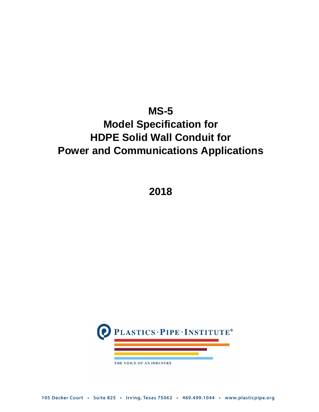## **MS-5**

# **Model Specification for HDPE Solid Wall Conduit for Power and Communications Applications**

**2018**



105 Decker Court · Suite 825 · Irving, Texas 75062 · 469.499.1044 · www.plasticpipe.org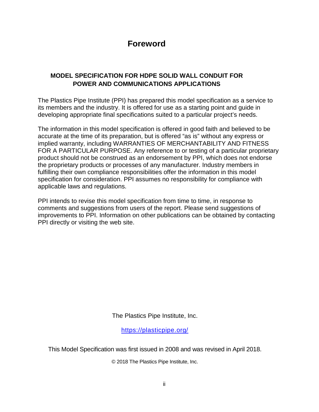### **Foreword**

#### **MODEL SPECIFICATION FOR HDPE SOLID WALL CONDUIT FOR POWER AND COMMUNICATIONS APPLICATIONS**

The Plastics Pipe Institute (PPI) has prepared this model specification as a service to its members and the industry. It is offered for use as a starting point and guide in developing appropriate final specifications suited to a particular project's needs.

The information in this model specification is offered in good faith and believed to be accurate at the time of its preparation, but is offered "as is" without any express or implied warranty, including WARRANTIES OF MERCHANTABILITY AND FITNESS FOR A PARTICULAR PURPOSE. Any reference to or testing of a particular proprietary product should not be construed as an endorsement by PPI, which does not endorse the proprietary products or processes of any manufacturer. Industry members in fulfilling their own compliance responsibilities offer the information in this model specification for consideration. PPI assumes no responsibility for compliance with applicable laws and regulations.

PPI intends to revise this model specification from time to time, in response to comments and suggestions from users of the report. Please send suggestions of improvements to PPI. Information on other publications can be obtained by contacting PPI directly or visiting the web site.

The Plastics Pipe Institute, Inc.

<https://plasticpipe.org/>

This Model Specification was first issued in 2008 and was revised in April 2018.

© 2018 The Plastics Pipe Institute, Inc.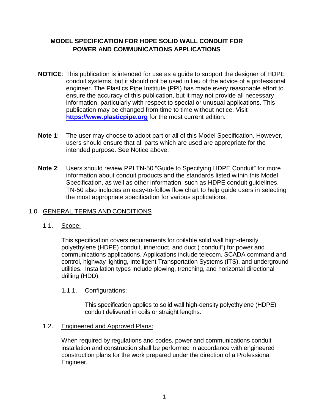#### **MODEL SPECIFICATION FOR HDPE SOLID WALL CONDUIT FOR POWER AND COMMUNICATIONS APPLICATIONS**

- **NOTICE**: This publication is intended for use as a guide to support the designer of HDPE conduit systems, but it should not be used in lieu of the advice of a professional engineer. The Plastics Pipe Institute (PPI) has made every reasonable effort to ensure the accuracy of this publication, but it may not provide all necessary information, particularly with respect to special or unusual applications. This publication may be changed from time to time without notice. Visit **[https://www.plasticpipe.org](https://www.plasticpipe.org/)** for the most current edition.
- **Note 1**: The user may choose to adopt part or all of this Model Specification. However, users should ensure that all parts which are used are appropriate for the intended purpose. See Notice above.
- **Note 2**: Users should review PPI TN-50 "Guide to Specifying HDPE Conduit" for more information about conduit products and the standards listed within this Model Specification, as well as other information, such as HDPE conduit guidelines. TN-50 also includes an easy-to-follow flow chart to help guide users in selecting the most appropriate specification for various applications.

#### 1.0 GENERAL TERMS AND CONDITIONS

#### 1.1. Scope:

This specification covers requirements for coilable solid wall high-density polyethylene (HDPE) conduit, innerduct, and duct ("conduit") for power and communications applications. Applications include telecom, SCADA command and control, highway lighting, Intelligent Transportation Systems (ITS), and underground utilities. Installation types include plowing, trenching, and horizontal directional drilling (HDD).

#### 1.1.1. Configurations:

This specification applies to solid wall high-density polyethylene (HDPE) conduit delivered in coils or straight lengths.

#### 1.2. Engineered and Approved Plans:

When required by regulations and codes, power and communications conduit installation and construction shall be performed in accordance with engineered construction plans for the work prepared under the direction of a Professional Engineer.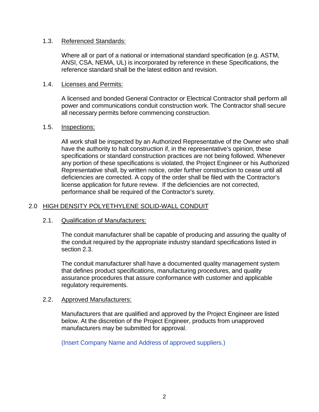#### 1.3. Referenced Standards:

Where all or part of a national or international standard specification (e.g. ASTM, ANSI, CSA, NEMA, UL) is incorporated by reference in these Specifications, the reference standard shall be the latest edition and revision.

#### 1.4. Licenses and Permits:

A licensed and bonded General Contractor or Electrical Contractor shall perform all power and communications conduit construction work. The Contractor shall secure all necessary permits before commencing construction.

#### 1.5. Inspections:

All work shall be inspected by an Authorized Representative of the Owner who shall have the authority to halt construction if, in the representative's opinion, these specifications or standard construction practices are not being followed. Whenever any portion of these specifications is violated, the Project Engineer or his Authorized Representative shall, by written notice, order further construction to cease until all deficiencies are corrected. A copy of the order shall be filed with the Contractor's license application for future review. If the deficiencies are not corrected, performance shall be required of the Contractor's surety.

#### 2.0 HIGH DENSITY POLYETHYLENE SOLID-WALL CONDUIT

#### 2.1. Qualification of Manufacturers:

The conduit manufacturer shall be capable of producing and assuring the quality of the conduit required by the appropriate industry standard specifications listed in section 2.3.

The conduit manufacturer shall have a documented quality management system that defines product specifications, manufacturing procedures, and quality assurance procedures that assure conformance with customer and applicable regulatory requirements.

#### 2.2. Approved Manufacturers:

Manufacturers that are qualified and approved by the Project Engineer are listed below. At the discretion of the Project Engineer, products from unapproved manufacturers may be submitted for approval.

(Insert Company Name and Address of approved suppliers.)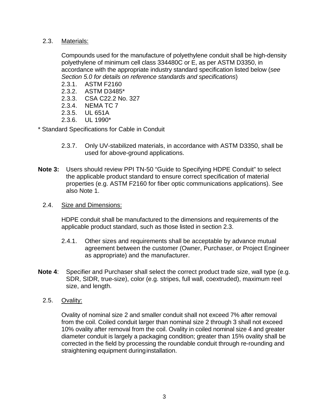#### 2.3. Materials:

Compounds used for the manufacture of polyethylene conduit shall be high-density polyethylene of minimum cell class 334480C or E, as per ASTM D3350, in accordance with the appropriate industry standard specification listed below (*see Section 5.0 for details on reference standards and specifications*)

- 2.3.1. ASTM F2160
- 2.3.2. ASTM D3485\*
- 2.3.3. CSA C22.2 No. 327
- 2.3.4. NEMA TC 7
- 2.3.5. UL 651A
- 2.3.6. UL 1990\*

\* Standard Specifications for Cable in Conduit

- 2.3.7. Only UV-stabilized materials, in accordance with ASTM D3350, shall be used for above-ground applications.
- **Note 3:** Users should review PPI TN-50 "Guide to Specifying HDPE Conduit" to select the applicable product standard to ensure correct specification of material properties (e.g. ASTM F2160 for fiber optic communications applications). See also Note 1.
	- 2.4. Size and Dimensions:

HDPE conduit shall be manufactured to the dimensions and requirements of the applicable product standard, such as those listed in section 2.3.

- 2.4.1. Other sizes and requirements shall be acceptable by advance mutual agreement between the customer (Owner, Purchaser, or Project Engineer as appropriate) and the manufacturer.
- **Note 4**: Specifier and Purchaser shall select the correct product trade size, wall type (e.g. SDR, SIDR, true-size), color (e.g. stripes, full wall, coextruded), maximum reel size, and length.
	- 2.5. Ovality:

Ovality of nominal size 2 and smaller conduit shall not exceed 7% after removal from the coil. Coiled conduit larger than nominal size 2 through 3 shall not exceed 10% ovality after removal from the coil. Ovality in coiled nominal size 4 and greater diameter conduit is largely a packaging condition; greater than 15% ovality shall be corrected in the field by processing the roundable conduit through re-rounding and straightening equipment during installation.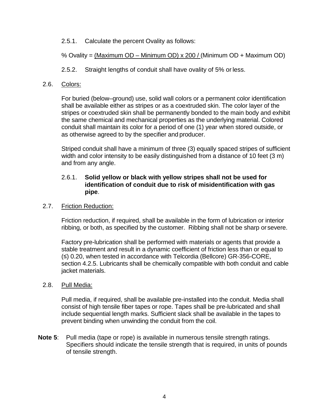#### 2.5.1. Calculate the percent Ovality as follows:

#### % Ovality = (Maximum OD – Minimum OD) x 200 / (Minimum OD + Maximum OD)

2.5.2. Straight lengths of conduit shall have ovality of 5% or less.

#### 2.6. Colors:

For buried (below–ground) use, solid wall colors or a permanent color identification shall be available either as stripes or as a coextruded skin. The color layer of the stripes or coextruded skin shall be permanently bonded to the main body and exhibit the same chemical and mechanical properties as the underlying material. Colored conduit shall maintain its color for a period of one (1) year when stored outside, or as otherwise agreed to by the specifier and producer.

Striped conduit shall have a minimum of three (3) equally spaced stripes of sufficient width and color intensity to be easily distinguished from a distance of 10 feet (3 m) and from any angle.

#### 2.6.1. **Solid yellow or black with yellow stripes shall not be used for identification of conduit due to risk of misidentification with gas pipe**.

#### 2.7. Friction Reduction:

Friction reduction, if required, shall be available in the form of lubrication or interior ribbing, or both, as specified by the customer. Ribbing shall not be sharp or severe.

Factory pre-lubrication shall be performed with materials or agents that provide a stable treatment and result in a dynamic coefficient of friction less than or equal to (≤) 0.20, when tested in accordance with Telcordia (Bellcore) GR-356-CORE, section 4.2.5. Lubricants shall be chemically compatible with both conduit and cable jacket materials.

#### 2.8. Pull Media:

Pull media, if required, shall be available pre-installed into the conduit. Media shall consist of high tensile fiber tapes or rope. Tapes shall be pre-lubricated and shall include sequential length marks. Sufficient slack shall be available in the tapes to prevent binding when unwinding the conduit from the coil.

**Note 5**: Pull media (tape or rope) is available in numerous tensile strength ratings. Specifiers should indicate the tensile strength that is required, in units of pounds of tensile strength.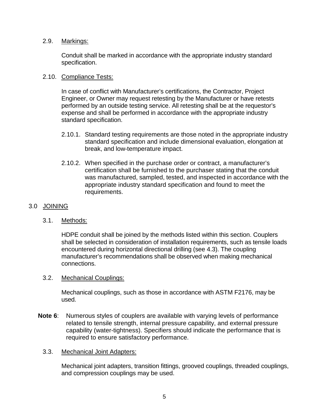#### 2.9. Markings:

Conduit shall be marked in accordance with the appropriate industry standard specification.

#### 2.10. Compliance Tests:

In case of conflict with Manufacturer's certifications, the Contractor, Project Engineer, or Owner may request retesting by the Manufacturer or have retests performed by an outside testing service. All retesting shall be at the requestor's expense and shall be performed in accordance with the appropriate industry standard specification.

- 2.10.1. Standard testing requirements are those noted in the appropriate industry standard specification and include dimensional evaluation, elongation at break, and low-temperature impact.
- 2.10.2. When specified in the purchase order or contract, a manufacturer's certification shall be furnished to the purchaser stating that the conduit was manufactured, sampled, tested, and inspected in accordance with the appropriate industry standard specification and found to meet the requirements.

#### 3.0 JOINING

#### 3.1. Methods:

HDPE conduit shall be joined by the methods listed within this section. Couplers shall be selected in consideration of installation requirements, such as tensile loads encountered during horizontal directional drilling (see 4.3). The coupling manufacturer's recommendations shall be observed when making mechanical connections.

#### 3.2. Mechanical Couplings:

Mechanical couplings, such as those in accordance with ASTM F2176, may be used.

**Note 6**: Numerous styles of couplers are available with varying levels of performance related to tensile strength, internal pressure capability, and external pressure capability (water-tightness). Specifiers should indicate the performance that is required to ensure satisfactory performance.

#### 3.3. Mechanical Joint Adapters:

Mechanical joint adapters, transition fittings, grooved couplings, threaded couplings, and compression couplings may be used.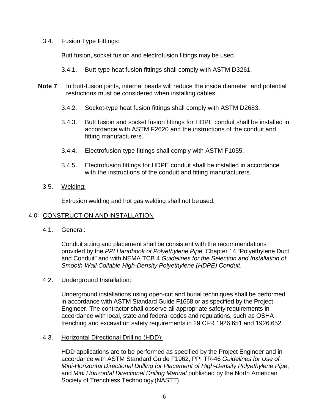#### 3.4. Fusion Type Fittings:

Butt fusion, socket fusion and electrofusion fittings may be used.

- 3.4.1. Butt-type heat fusion fittings shall comply with ASTM D3261.
- **Note 7:** In butt-fusion joints, internal beads will reduce the inside diameter, and potential restrictions must be considered when installing cables.
	- 3.4.2. Socket-type heat fusion fittings shall comply with ASTM D2683.
	- 3.4.3. Butt fusion and socket fusion fittings for HDPE conduit shall be installed in accordance with ASTM F2620 and the instructions of the conduit and fitting manufacturers.
	- 3.4.4. Electrofusion-type fittings shall comply with ASTM F1055.
	- 3.4.5. Electrofusion fittings for HDPE conduit shall be installed in accordance with the instructions of the conduit and fitting manufacturers.
	- 3.5. Welding:

Extrusion welding and hot gas welding shall not beused.

#### 4.0 CONSTRUCTION AND INSTALLATION

4.1. General:

Conduit sizing and placement shall be consistent with the recommendations provided by the *PPI Handbook of Polyethylene Pipe,* Chapter 14 "Polyethylene Duct and Conduit" and with NEMA TCB 4 *Guidelines for the Selection and Installation of Smooth-Wall Coilable High-Density Polyethylene (HDPE) Conduit*.

#### 4.2. Underground Installation:

Underground installations using open-cut and burial techniques shall be performed in accordance with ASTM Standard Guide F1668 or as specified by the Project Engineer. The contractor shall observe all appropriate safety requirements in accordance with local, state and federal codes and regulations, such as OSHA trenching and excavation safety requirements in 29 CFR 1926.651 and 1926.652.

#### 4.3. Horizontal Directional Drilling (HDD):

HDD applications are to be performed as specified by the Project Engineer and in accordance with ASTM Standard Guide F1962, PPI TR-46 *Guidelines for Use of Mini-Horizontal Directional Drilling for Placement of High-Density Polyethylene Pipe*, and *Mini Horizontal Directional Drilling Manual* published by the North American Society of Trenchless Technology (NASTT).